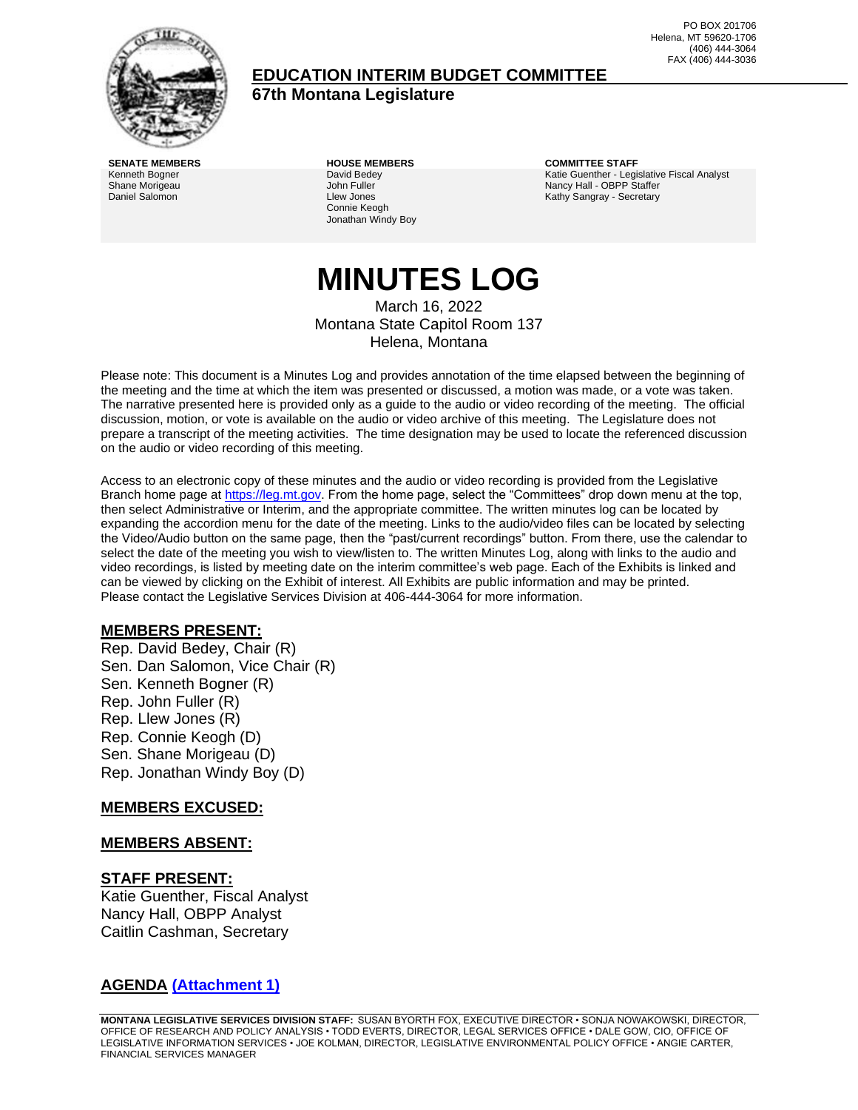

### **EDUCATION INTERIM BUDGET COMMITTEE**

**67th Montana Legislature**

PO BOX 201706 Helena, MT 59620-1706 (406) 444-3064 FAX (406) 444-3036

Kenneth Bogner Shane Morigeau Daniel Salomon

David Bedey John Fuller Llew Jones Connie Keogh Jonathan Windy Boy

**SENATE MEMBERS HOUSE MEMBERS COMMITTEE STAFF** Katie Guenther - Legislative Fiscal Analyst Nancy Hall - OBPP Staffer Kathy Sangray - Secretary

## **MINUTES LOG** March 16, 2022

Montana State Capitol Room 137 Helena, Montana

Please note: This document is a Minutes Log and provides annotation of the time elapsed between the beginning of the meeting and the time at which the item was presented or discussed, a motion was made, or a vote was taken. The narrative presented here is provided only as a guide to the audio or video recording of the meeting. The official discussion, motion, or vote is available on the audio or video archive of this meeting. The Legislature does not prepare a transcript of the meeting activities. The time designation may be used to locate the referenced discussion on the audio or video recording of this meeting.

Access to an electronic copy of these minutes and the audio or video recording is provided from the Legislative Branch home page a[t https://leg.mt.gov.](http://legmt.gov/) From the home page, select the "Committees" drop down menu at the top, then select Administrative or Interim, and the appropriate committee. The written minutes log can be located by expanding the accordion menu for the date of the meeting. Links to the audio/video files can be located by selecting the Video/Audio button on the same page, then the "past/current recordings" button. From there, use the calendar to select the date of the meeting you wish to view/listen to. The written Minutes Log, along with links to the audio and video recordings, is listed by meeting date on the interim committee's web page. Each of the Exhibits is linked and can be viewed by clicking on the Exhibit of interest. All Exhibits are public information and may be printed. Please contact the Legislative Services Division at 406-444-3064 for more information.

### **MEMBERS PRESENT:**

Rep. David Bedey, Chair (R) Sen. Dan Salomon, Vice Chair (R) Sen. Kenneth Bogner (R) Rep. John Fuller (R) Rep. Llew Jones (R) Rep. Connie Keogh (D) Sen. Shane Morigeau (D) Rep. Jonathan Windy Boy (D)

#### **MEMBERS EXCUSED:**

#### **MEMBERS ABSENT:**

### **STAFF PRESENT:**

Katie Guenther, Fiscal Analyst Nancy Hall, OBPP Analyst Caitlin Cashman, Secretary

### **AGENDA [\(Attachment 1\)](http://legmt.gov/)**

**MONTANA LEGISLATIVE SERVICES DIVISION STAFF:** SUSAN BYORTH FOX, EXECUTIVE DIRECTOR • SONJA NOWAKOWSKI, DIRECTOR, OFFICE OF RESEARCH AND POLICY ANALYSIS • TODD EVERTS, DIRECTOR, LEGAL SERVICES OFFICE • DALE GOW, CIO, OFFICE OF LEGISLATIVE INFORMATION SERVICES • JOE KOLMAN, DIRECTOR, LEGISLATIVE ENVIRONMENTAL POLICY OFFICE • ANGIE CARTER, FINANCIAL SERVICES MANAGER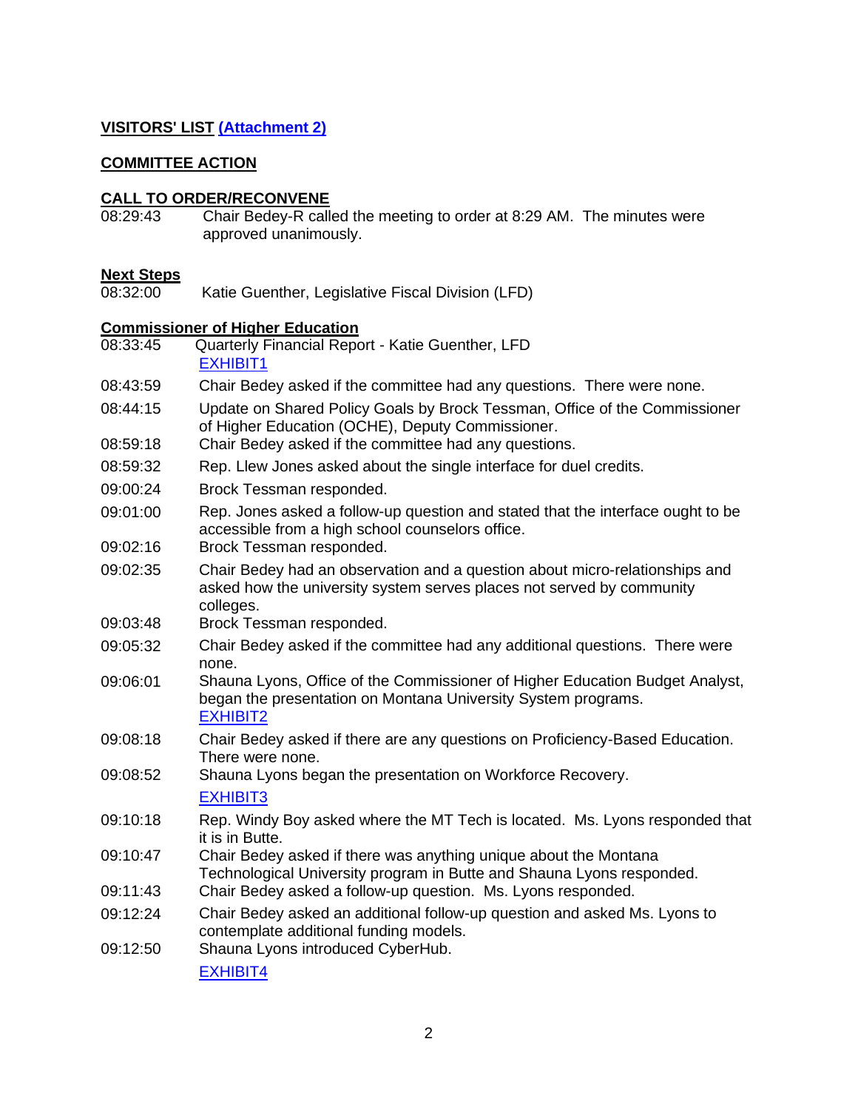### **VISITORS' LIST [\(Attachment 2\)](http://legmt.gov/)**

### **COMMITTEE ACTION**

### **CALL TO ORDER/RECONVENE**

08:29:43 Chair Bedey-R called the meeting to order at 8:29 AM. The minutes were approved unanimously.

**Next Steps** Katie Guenther, Legislative Fiscal Division (LFD)

### **Commissioner of Higher Education**

| 08:33:45 | Quarterly Financial Report - Katie Guenther, LFD<br><b>EXHIBIT1</b>                                                                                               |
|----------|-------------------------------------------------------------------------------------------------------------------------------------------------------------------|
| 08:43:59 | Chair Bedey asked if the committee had any questions. There were none.                                                                                            |
| 08:44:15 | Update on Shared Policy Goals by Brock Tessman, Office of the Commissioner<br>of Higher Education (OCHE), Deputy Commissioner.                                    |
| 08:59:18 | Chair Bedey asked if the committee had any questions.                                                                                                             |
| 08:59:32 | Rep. Llew Jones asked about the single interface for duel credits.                                                                                                |
| 09:00:24 | Brock Tessman responded.                                                                                                                                          |
| 09:01:00 | Rep. Jones asked a follow-up question and stated that the interface ought to be<br>accessible from a high school counselors office.                               |
| 09:02:16 | Brock Tessman responded.                                                                                                                                          |
| 09:02:35 | Chair Bedey had an observation and a question about micro-relationships and<br>asked how the university system serves places not served by community<br>colleges. |
| 09:03:48 | Brock Tessman responded.                                                                                                                                          |
| 09:05:32 | Chair Bedey asked if the committee had any additional questions. There were<br>none.                                                                              |
| 09:06:01 | Shauna Lyons, Office of the Commissioner of Higher Education Budget Analyst,<br>began the presentation on Montana University System programs.<br><b>EXHIBIT2</b>  |
| 09:08:18 | Chair Bedey asked if there are any questions on Proficiency-Based Education.<br>There were none.                                                                  |
| 09:08:52 | Shauna Lyons began the presentation on Workforce Recovery.                                                                                                        |
|          | <b>EXHIBIT3</b>                                                                                                                                                   |
| 09:10:18 | Rep. Windy Boy asked where the MT Tech is located. Ms. Lyons responded that<br>it is in Butte.                                                                    |
| 09:10:47 | Chair Bedey asked if there was anything unique about the Montana<br>Technological University program in Butte and Shauna Lyons responded.                         |
| 09:11:43 | Chair Bedey asked a follow-up question. Ms. Lyons responded.                                                                                                      |
| 09:12:24 | Chair Bedey asked an additional follow-up question and asked Ms. Lyons to<br>contemplate additional funding models.                                               |
| 09:12:50 | Shauna Lyons introduced CyberHub.<br><b>EXHIBIT4</b>                                                                                                              |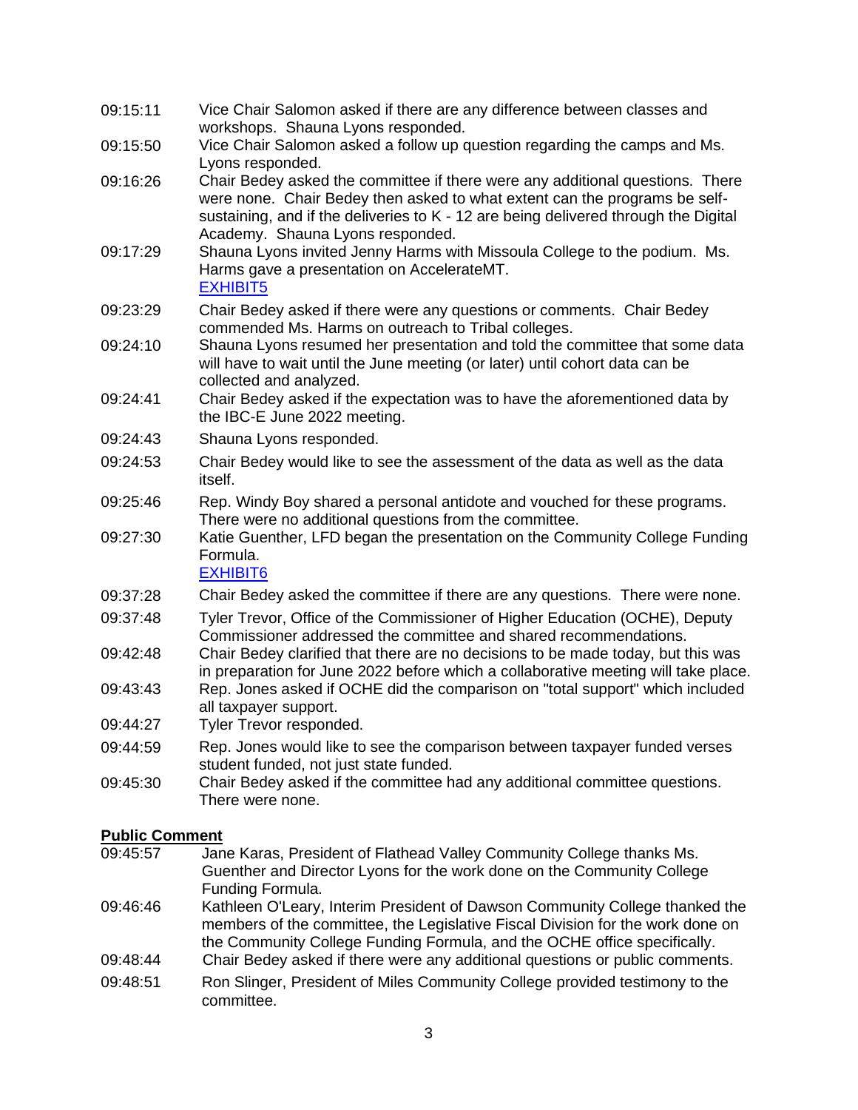| 09:15:11 | Vice Chair Salomon asked if there are any difference between classes and<br>workshops. Shauna Lyons responded.                                                                                                                                                                         |
|----------|----------------------------------------------------------------------------------------------------------------------------------------------------------------------------------------------------------------------------------------------------------------------------------------|
| 09:15:50 | Vice Chair Salomon asked a follow up question regarding the camps and Ms.<br>Lyons responded.                                                                                                                                                                                          |
| 09:16:26 | Chair Bedey asked the committee if there were any additional questions. There<br>were none. Chair Bedey then asked to what extent can the programs be self-<br>sustaining, and if the deliveries to K - 12 are being delivered through the Digital<br>Academy. Shauna Lyons responded. |
| 09:17:29 | Shauna Lyons invited Jenny Harms with Missoula College to the podium. Ms.<br>Harms gave a presentation on AccelerateMT.<br><b>EXHIBIT5</b>                                                                                                                                             |
| 09:23:29 | Chair Bedey asked if there were any questions or comments. Chair Bedey<br>commended Ms. Harms on outreach to Tribal colleges.                                                                                                                                                          |
| 09:24:10 | Shauna Lyons resumed her presentation and told the committee that some data<br>will have to wait until the June meeting (or later) until cohort data can be<br>collected and analyzed.                                                                                                 |
| 09:24:41 | Chair Bedey asked if the expectation was to have the aforementioned data by<br>the IBC-E June 2022 meeting.                                                                                                                                                                            |
| 09:24:43 | Shauna Lyons responded.                                                                                                                                                                                                                                                                |
| 09:24:53 | Chair Bedey would like to see the assessment of the data as well as the data<br>itself.                                                                                                                                                                                                |
| 09:25:46 | Rep. Windy Boy shared a personal antidote and vouched for these programs.<br>There were no additional questions from the committee.                                                                                                                                                    |
| 09:27:30 | Katie Guenther, LFD began the presentation on the Community College Funding<br>Formula.<br><b>EXHIBIT6</b>                                                                                                                                                                             |
| 09:37:28 | Chair Bedey asked the committee if there are any questions. There were none.                                                                                                                                                                                                           |
| 09:37:48 | Tyler Trevor, Office of the Commissioner of Higher Education (OCHE), Deputy<br>Commissioner addressed the committee and shared recommendations.                                                                                                                                        |
| 09:42:48 | Chair Bedey clarified that there are no decisions to be made today, but this was<br>in preparation for June 2022 before which a collaborative meeting will take place.                                                                                                                 |
| 09:43:43 | Rep. Jones asked if OCHE did the comparison on "total support" which included<br>all taxpayer support.                                                                                                                                                                                 |
| 09:44:27 | Tyler Trevor responded.                                                                                                                                                                                                                                                                |
| 09:44:59 | Rep. Jones would like to see the comparison between taxpayer funded verses<br>student funded, not just state funded.                                                                                                                                                                   |
| 09:45:30 | Chair Bedey asked if the committee had any additional committee questions.<br>There were none                                                                                                                                                                                          |

# **Public Comment**<br>09:45:57 Jan

- Jane Karas, President of Flathead Valley Community College thanks Ms. Guenther and Director Lyons for the work done on the Community College Funding Formula.
- 09:46:46 Kathleen O'Leary, Interim President of Dawson Community College thanked the members of the committee, the Legislative Fiscal Division for the work done on the Community College Funding Formula, and the OCHE office specifically.
- 09:48:44 Chair Bedey asked if there were any additional questions or public comments.
- 09:48:51 Ron Slinger, President of Miles Community College provided testimony to the committee.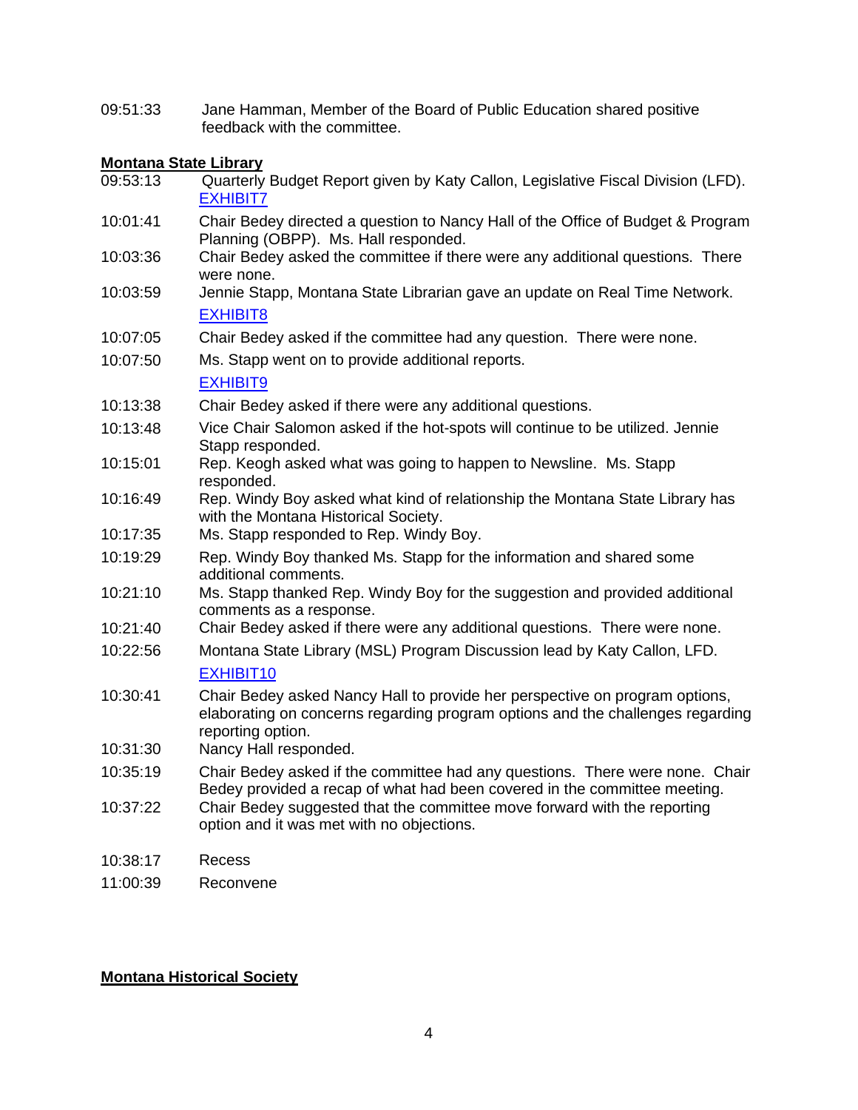09:51:33 Jane Hamman, Member of the Board of Public Education shared positive feedback with the committee.

# **Montana State Library**<br>09:53:13 **Quarterly**

- Quarterly Budget Report given by Katy Callon, Legislative Fiscal Division (LFD). [EXHIBIT7](https://leg.mt.gov/content/publications/fiscal/2023-Interim/FY22-March/MSL.pdf) 10:01:41 Chair Bedey directed a question to Nancy Hall of the Office of Budget & Program Planning (OBPP). Ms. Hall responded. 10:03:36 Chair Bedey asked the committee if there were any additional questions. There were none. 10:03:59 Jennie Stapp, Montana State Librarian gave an update on Real Time Network. [EXHIBIT8](https://storymaps.arcgis.com/stories/8c308ca213454a9f88266f809aaa8d49) 10:07:05 Chair Bedey asked if the committee had any question. There were none. 10:07:50 Ms. Stapp went on to provide additional reports. [EXHIBIT9](https://storymaps.arcgis.com/stories/50b6a3d53ded4db495d9af84d2b6c1a8) 10:13:38 Chair Bedey asked if there were any additional questions. 10:13:48 Vice Chair Salomon asked if the hot-spots will continue to be utilized. Jennie Stapp responded. 10:15:01 Rep. Keogh asked what was going to happen to Newsline. Ms. Stapp responded. 10:16:49 Rep. Windy Boy asked what kind of relationship the Montana State Library has with the Montana Historical Society. 10:17:35 Ms. Stapp responded to Rep. Windy Boy. 10:19:29 Rep. Windy Boy thanked Ms. Stapp for the information and shared some additional comments. 10:21:10 Ms. Stapp thanked Rep. Windy Boy for the suggestion and provided additional comments as a response. 10:21:40 Chair Bedey asked if there were any additional questions. There were none. 10:22:56 Montana State Library (MSL) Program Discussion lead by Katy Callon, LFD. [EXHIBIT10](https://leg.mt.gov/content/publications/fiscal/2023-Interim/IBC-E/LFD-Memo-MSL-Program-03-16-22-Final.pdf) 10:30:41 Chair Bedey asked Nancy Hall to provide her perspective on program options, elaborating on concerns regarding program options and the challenges regarding reporting option. 10:31:30 Nancy Hall responded. 10:35:19 Chair Bedey asked if the committee had any questions. There were none. Chair Bedey provided a recap of what had been covered in the committee meeting. 10:37:22 Chair Bedey suggested that the committee move forward with the reporting option and it was met with no objections. 10:38:17 Recess
- 11:00:39 Reconvene

### **Montana Historical Society**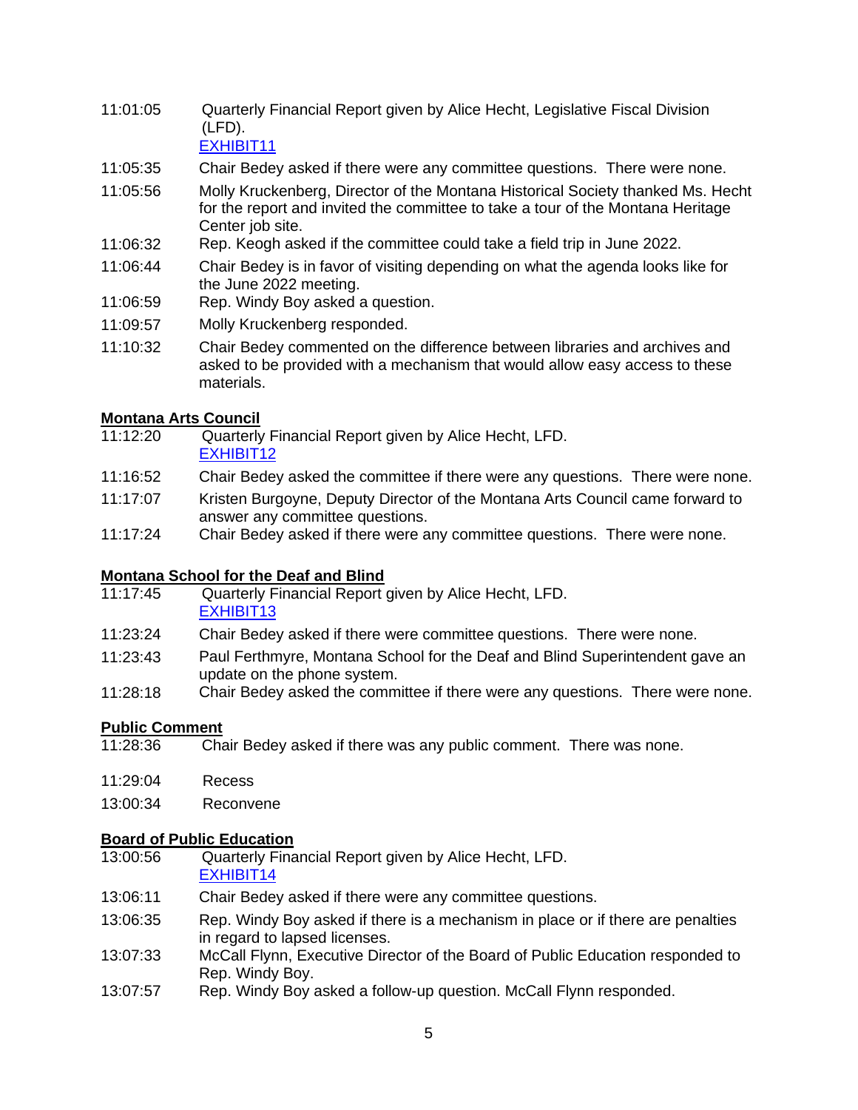11:01:05 Quarterly Financial Report given by Alice Hecht, Legislative Fiscal Division (LFD).

[EXHIBIT11](https://leg.mt.gov/content/publications/fiscal/2023-Interim/FY22-March/MHS.pdf)

- 11:05:35 Chair Bedey asked if there were any committee questions. There were none.
- 11:05:56 Molly Kruckenberg, Director of the Montana Historical Society thanked Ms. Hecht for the report and invited the committee to take a tour of the Montana Heritage Center job site.
- 11:06:32 Rep. Keogh asked if the committee could take a field trip in June 2022.
- 11:06:44 Chair Bedey is in favor of visiting depending on what the agenda looks like for the June 2022 meeting.
- 11:06:59 Rep. Windy Boy asked a question.
- 11:09:57 Molly Kruckenberg responded.
- 11:10:32 Chair Bedey commented on the difference between libraries and archives and asked to be provided with a mechanism that would allow easy access to these materials.

### **Montana Arts Council**

- 11:12:20 Quarterly Financial Report given by Alice Hecht, LFD. [EXHIBIT12](https://leg.mt.gov/content/publications/fiscal/2023-Interim/FY22-March/MAC.pdf)
- 11:16:52 Chair Bedey asked the committee if there were any questions. There were none.
- 11:17:07 Kristen Burgoyne, Deputy Director of the Montana Arts Council came forward to answer any committee questions.
- 11:17:24 Chair Bedey asked if there were any committee questions. There were none.

### **Montana School for the Deaf and Blind**

- 11:17:45 Quarterly Financial Report given by Alice Hecht, LFD. [EXHIBIT13](https://leg.mt.gov/content/publications/fiscal/2023-Interim/FY22-March/MSDB.pdf)
- 11:23:24 Chair Bedey asked if there were committee questions. There were none.
- 11:23:43 Paul Ferthmyre, Montana School for the Deaf and Blind Superintendent gave an update on the phone system.
- 11:28:18 Chair Bedey asked the committee if there were any questions. There were none.

### **Public Comment**

- 11:28:36 Chair Bedey asked if there was any public comment. There was none.
- 11:29:04 Recess
- 13:00:34 Reconvene

# **Board of Public Education**<br>13:00:56 **Quarterly Fina**

Quarterly Financial Report given by Alice Hecht, LFD.

### [EXHIBIT14](https://leg.mt.gov/content/publications/fiscal/2023-Interim/FY22-March/BPE.pdf)

- 13:06:11 Chair Bedey asked if there were any committee questions.
- 13:06:35 Rep. Windy Boy asked if there is a mechanism in place or if there are penalties in regard to lapsed licenses.
- 13:07:33 McCall Flynn, Executive Director of the Board of Public Education responded to Rep. Windy Boy.
- 13:07:57 Rep. Windy Boy asked a follow-up question. McCall Flynn responded.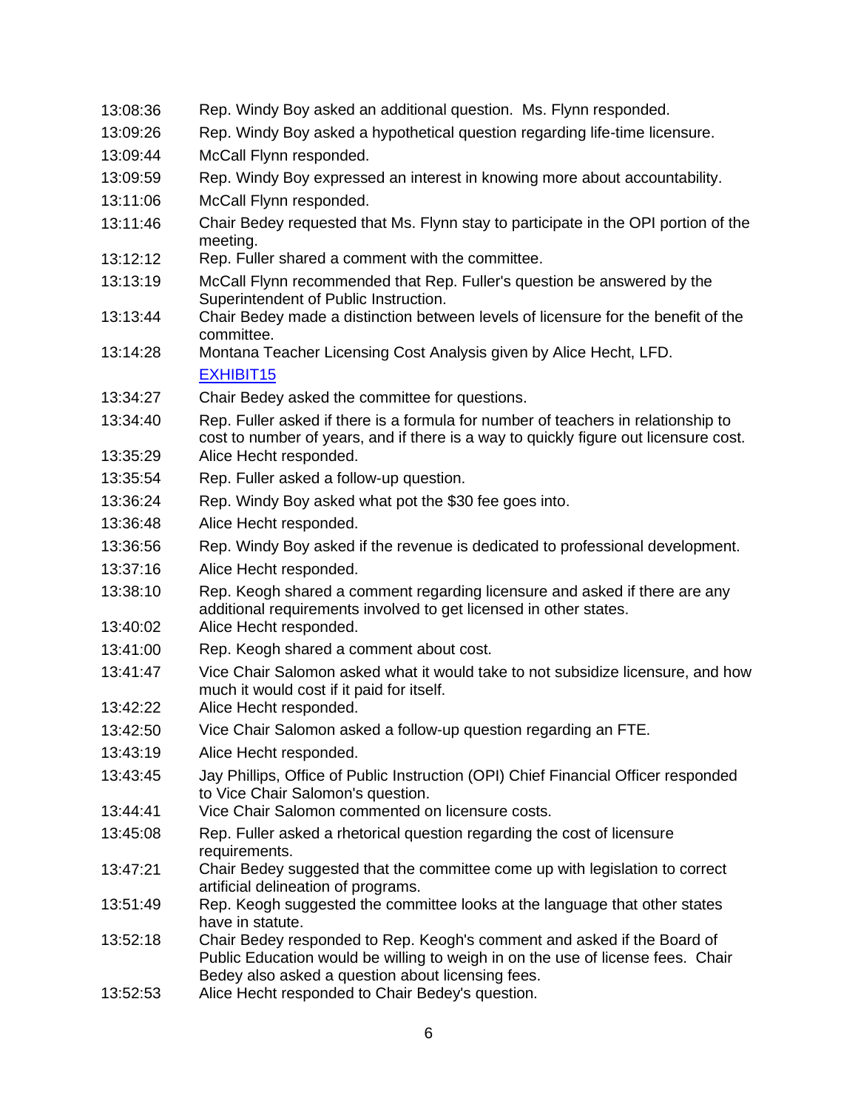| 13:08:36             | Rep. Windy Boy asked an additional question. Ms. Flynn responded.                                                                                                                                               |
|----------------------|-----------------------------------------------------------------------------------------------------------------------------------------------------------------------------------------------------------------|
| 13:09:26             | Rep. Windy Boy asked a hypothetical question regarding life-time licensure.                                                                                                                                     |
| 13:09:44             | McCall Flynn responded.                                                                                                                                                                                         |
| 13:09:59             | Rep. Windy Boy expressed an interest in knowing more about accountability.                                                                                                                                      |
| 13:11:06             | McCall Flynn responded.                                                                                                                                                                                         |
| 13:11:46             | Chair Bedey requested that Ms. Flynn stay to participate in the OPI portion of the<br>meeting.                                                                                                                  |
| 13:12:12             | Rep. Fuller shared a comment with the committee.                                                                                                                                                                |
| 13:13:19             | McCall Flynn recommended that Rep. Fuller's question be answered by the<br>Superintendent of Public Instruction.                                                                                                |
| 13:13:44             | Chair Bedey made a distinction between levels of licensure for the benefit of the<br>committee.                                                                                                                 |
| 13:14:28             | Montana Teacher Licensing Cost Analysis given by Alice Hecht, LFD.<br>EXHIBIT <sub>15</sub>                                                                                                                     |
| 13:34:27             | Chair Bedey asked the committee for questions.                                                                                                                                                                  |
| 13:34:40<br>13:35:29 | Rep. Fuller asked if there is a formula for number of teachers in relationship to<br>cost to number of years, and if there is a way to quickly figure out licensure cost.<br>Alice Hecht responded.             |
| 13:35:54             | Rep. Fuller asked a follow-up question.                                                                                                                                                                         |
| 13:36:24             | Rep. Windy Boy asked what pot the \$30 fee goes into.                                                                                                                                                           |
| 13:36:48             | Alice Hecht responded.                                                                                                                                                                                          |
| 13:36:56             | Rep. Windy Boy asked if the revenue is dedicated to professional development.                                                                                                                                   |
| 13:37:16             | Alice Hecht responded.                                                                                                                                                                                          |
| 13:38:10             | Rep. Keogh shared a comment regarding licensure and asked if there are any                                                                                                                                      |
| 13:40:02             | additional requirements involved to get licensed in other states.<br>Alice Hecht responded.                                                                                                                     |
| 13:41:00             | Rep. Keogh shared a comment about cost.                                                                                                                                                                         |
| 13:41:47             | Vice Chair Salomon asked what it would take to not subsidize licensure, and how<br>much it would cost if it paid for itself.                                                                                    |
| 13:42:22             | Alice Hecht responded.                                                                                                                                                                                          |
| 13:42:50             | Vice Chair Salomon asked a follow-up question regarding an FTE                                                                                                                                                  |
| 13:43:19             | Alice Hecht responded.                                                                                                                                                                                          |
| 13:43:45             | Jay Phillips, Office of Public Instruction (OPI) Chief Financial Officer responded<br>to Vice Chair Salomon's question.                                                                                         |
| 13:44:41             | Vice Chair Salomon commented on licensure costs.                                                                                                                                                                |
| 13:45:08             | Rep. Fuller asked a rhetorical question regarding the cost of licensure<br>requirements.                                                                                                                        |
| 13:47:21             | Chair Bedey suggested that the committee come up with legislation to correct<br>artificial delineation of programs.                                                                                             |
| 13:51:49             | Rep. Keogh suggested the committee looks at the language that other states<br>have in statute.                                                                                                                  |
| 13:52:18             | Chair Bedey responded to Rep. Keogh's comment and asked if the Board of<br>Public Education would be willing to weigh in on the use of license fees. Chair<br>Bedey also asked a question about licensing fees. |
| 13:52:53             | Alice Hecht responded to Chair Bedey's question.                                                                                                                                                                |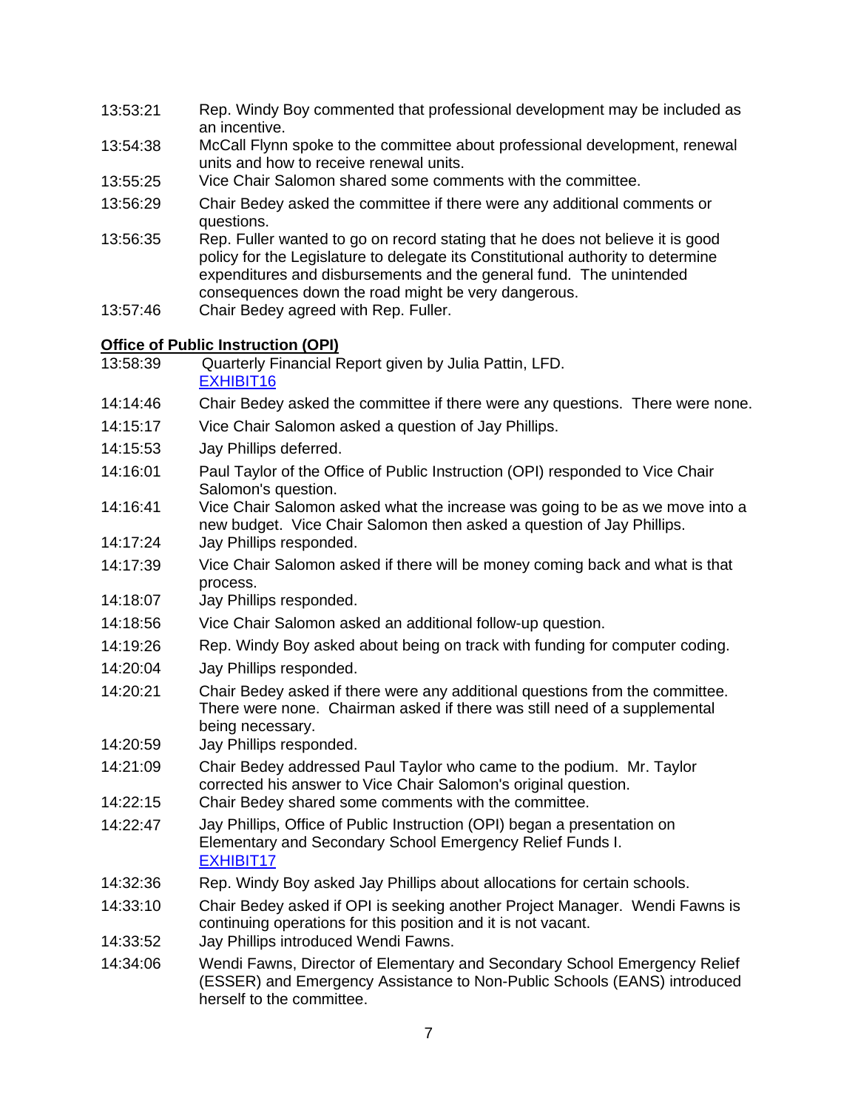- 13:53:21 Rep. Windy Boy commented that professional development may be included as an incentive.
- 13:54:38 McCall Flynn spoke to the committee about professional development, renewal units and how to receive renewal units.
- 13:55:25 Vice Chair Salomon shared some comments with the committee.
- 13:56:29 Chair Bedey asked the committee if there were any additional comments or questions.
- 13:56:35 Rep. Fuller wanted to go on record stating that he does not believe it is good policy for the Legislature to delegate its Constitutional authority to determine expenditures and disbursements and the general fund. The unintended consequences down the road might be very dangerous.
- 13:57:46 Chair Bedey agreed with Rep. Fuller.

### **Office of Public Instruction (OPI)**

- 13:58:39 Quarterly Financial Report given by Julia Pattin, LFD. [EXHIBIT16](https://leg.mt.gov/content/publications/fiscal/2023-Interim/FY22-March/OPI.pdf)
- 14:14:46 Chair Bedey asked the committee if there were any questions. There were none.
- 14:15:17 Vice Chair Salomon asked a question of Jay Phillips.
- 14:15:53 Jay Phillips deferred.
- 14:16:01 Paul Taylor of the Office of Public Instruction (OPI) responded to Vice Chair Salomon's question.
- 14:16:41 Vice Chair Salomon asked what the increase was going to be as we move into a new budget. Vice Chair Salomon then asked a question of Jay Phillips.
- 14:17:24 Jay Phillips responded.
- 14:17:39 Vice Chair Salomon asked if there will be money coming back and what is that process.
- 14:18:07 Jay Phillips responded.
- 14:18:56 Vice Chair Salomon asked an additional follow-up question.
- 14:19:26 Rep. Windy Boy asked about being on track with funding for computer coding.
- 14:20:04 Jay Phillips responded.
- 14:20:21 Chair Bedey asked if there were any additional questions from the committee. There were none. Chairman asked if there was still need of a supplemental being necessary.
- 14:20:59 Jay Phillips responded.
- 14:21:09 Chair Bedey addressed Paul Taylor who came to the podium. Mr. Taylor corrected his answer to Vice Chair Salomon's original question.
- 14:22:15 Chair Bedey shared some comments with the committee.
- 14:22:47 Jay Phillips, Office of Public Instruction (OPI) began a presentation on Elementary and Secondary School Emergency Relief Funds I. [EXHIBIT17](https://leg.mt.gov/content/publications/fiscal/2023-Interim/IBC-E/ESSER_IEC_3_1_22.pdf)
- 14:32:36 Rep. Windy Boy asked Jay Phillips about allocations for certain schools.
- 14:33:10 Chair Bedey asked if OPI is seeking another Project Manager. Wendi Fawns is continuing operations for this position and it is not vacant.
- 14:33:52 Jay Phillips introduced Wendi Fawns.
- 14:34:06 Wendi Fawns, Director of Elementary and Secondary School Emergency Relief (ESSER) and Emergency Assistance to Non-Public Schools (EANS) introduced herself to the committee.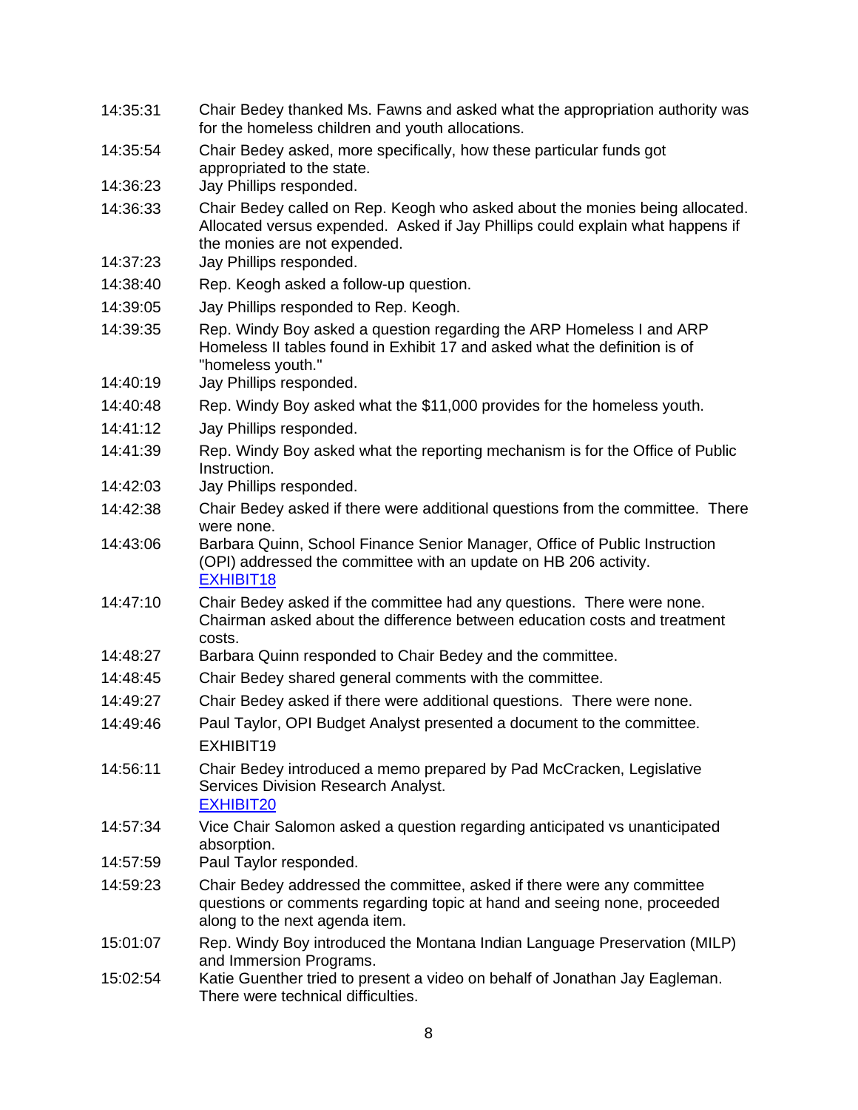| 14:35:31 | Chair Bedey thanked Ms. Fawns and asked what the appropriation authority was<br>for the homeless children and youth allocations.                                                               |
|----------|------------------------------------------------------------------------------------------------------------------------------------------------------------------------------------------------|
| 14:35:54 | Chair Bedey asked, more specifically, how these particular funds got<br>appropriated to the state.                                                                                             |
| 14:36:23 | Jay Phillips responded.                                                                                                                                                                        |
| 14:36:33 | Chair Bedey called on Rep. Keogh who asked about the monies being allocated.<br>Allocated versus expended. Asked if Jay Phillips could explain what happens if<br>the monies are not expended. |
| 14:37:23 | Jay Phillips responded.                                                                                                                                                                        |
| 14:38:40 | Rep. Keogh asked a follow-up question.                                                                                                                                                         |
| 14:39:05 | Jay Phillips responded to Rep. Keogh.                                                                                                                                                          |
| 14:39:35 | Rep. Windy Boy asked a question regarding the ARP Homeless I and ARP<br>Homeless II tables found in Exhibit 17 and asked what the definition is of<br>"homeless youth."                        |
| 14:40:19 | Jay Phillips responded.                                                                                                                                                                        |
| 14:40:48 | Rep. Windy Boy asked what the \$11,000 provides for the homeless youth.                                                                                                                        |
| 14:41:12 | Jay Phillips responded.                                                                                                                                                                        |
| 14:41:39 | Rep. Windy Boy asked what the reporting mechanism is for the Office of Public<br>Instruction.                                                                                                  |
| 14:42:03 | Jay Phillips responded.                                                                                                                                                                        |
| 14:42:38 | Chair Bedey asked if there were additional questions from the committee. There<br>were none.                                                                                                   |
| 14:43:06 | Barbara Quinn, School Finance Senior Manager, Office of Public Instruction<br>(OPI) addressed the committee with an update on HB 206 activity.<br>EXHIBIT18                                    |
| 14:47:10 | Chair Bedey asked if the committee had any questions. There were none.<br>Chairman asked about the difference between education costs and treatment<br>costs.                                  |
| 14:48:27 | Barbara Quinn responded to Chair Bedey and the committee.                                                                                                                                      |
| 14:48:45 | Chair Bedey shared general comments with the committee.                                                                                                                                        |
| 14:49:27 | Chair Bedey asked if there were additional questions. There were none.                                                                                                                         |
| 14:49:46 | Paul Taylor, OPI Budget Analyst presented a document to the committee.<br>EXHIBIT19                                                                                                            |
| 14:56:11 | Chair Bedey introduced a memo prepared by Pad McCracken, Legislative<br>Services Division Research Analyst.<br><b>EXHIBIT20</b>                                                                |
| 14:57:34 | Vice Chair Salomon asked a question regarding anticipated vs unanticipated<br>absorption.                                                                                                      |
| 14:57:59 | Paul Taylor responded.                                                                                                                                                                         |
| 14:59:23 | Chair Bedey addressed the committee, asked if there were any committee<br>questions or comments regarding topic at hand and seeing none, proceeded<br>along to the next agenda item.           |
| 15:01:07 | Rep. Windy Boy introduced the Montana Indian Language Preservation (MILP)<br>and Immersion Programs.                                                                                           |
| 15:02:54 | Katie Guenther tried to present a video on behalf of Jonathan Jay Eagleman.<br>There were technical difficulties.                                                                              |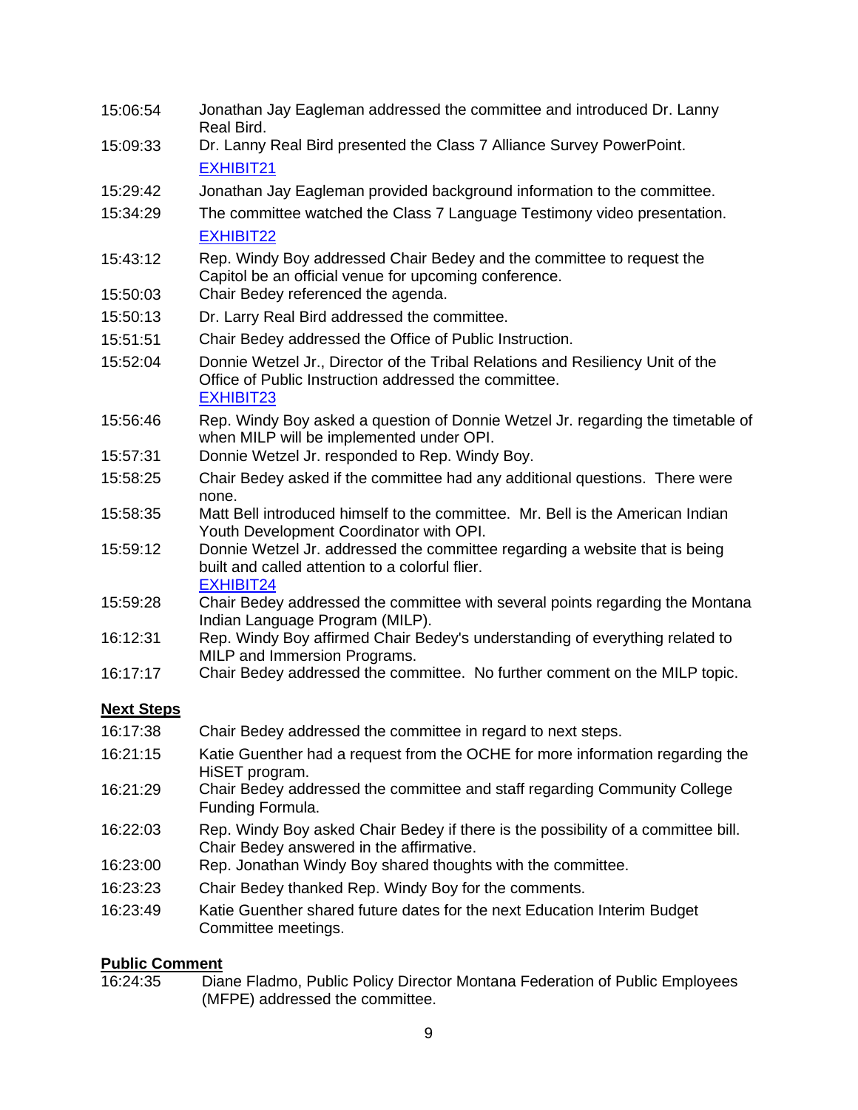| 15:06:54          | Jonathan Jay Eagleman addressed the committee and introduced Dr. Lanny<br>Real Bird.                                                                 |
|-------------------|------------------------------------------------------------------------------------------------------------------------------------------------------|
| 15:09:33          | Dr. Lanny Real Bird presented the Class 7 Alliance Survey PowerPoint.                                                                                |
|                   | EXHIBIT21                                                                                                                                            |
| 15:29:42          | Jonathan Jay Eagleman provided background information to the committee.                                                                              |
| 15:34:29          | The committee watched the Class 7 Language Testimony video presentation.                                                                             |
|                   | EXHIBIT22                                                                                                                                            |
| 15:43:12          | Rep. Windy Boy addressed Chair Bedey and the committee to request the<br>Capitol be an official venue for upcoming conference.                       |
| 15:50:03          | Chair Bedey referenced the agenda.                                                                                                                   |
| 15:50:13          | Dr. Larry Real Bird addressed the committee.                                                                                                         |
| 15:51:51          | Chair Bedey addressed the Office of Public Instruction.                                                                                              |
| 15:52:04          | Donnie Wetzel Jr., Director of the Tribal Relations and Resiliency Unit of the<br>Office of Public Instruction addressed the committee.<br>EXHIBIT23 |
| 15:56:46          | Rep. Windy Boy asked a question of Donnie Wetzel Jr. regarding the timetable of<br>when MILP will be implemented under OPI.                          |
| 15:57:31          | Donnie Wetzel Jr. responded to Rep. Windy Boy.                                                                                                       |
| 15:58:25          | Chair Bedey asked if the committee had any additional questions. There were<br>none.                                                                 |
| 15:58:35          | Matt Bell introduced himself to the committee. Mr. Bell is the American Indian<br>Youth Development Coordinator with OPI.                            |
| 15:59:12          | Donnie Wetzel Jr. addressed the committee regarding a website that is being<br>built and called attention to a colorful flier.<br>EXHIBIT24          |
| 15:59:28          | Chair Bedey addressed the committee with several points regarding the Montana<br>Indian Language Program (MILP).                                     |
| 16:12:31          | Rep. Windy Boy affirmed Chair Bedey's understanding of everything related to<br>MILP and Immersion Programs.                                         |
| 16:17:17          | Chair Bedey addressed the committee. No further comment on the MILP topic.                                                                           |
| <b>Next Steps</b> |                                                                                                                                                      |
| 16:17:38          | Chair Bedey addressed the committee in regard to next steps.                                                                                         |
| 16:21:15          | Katie Guenther had a request from the OCHE for more information regarding the<br>HiSET program.                                                      |
| 16:21:29          | Chair Bedey addressed the committee and staff regarding Community College<br>Funding Formula.                                                        |
| 16:22:03          | Rep. Windy Boy asked Chair Bedey if there is the possibility of a committee bill.<br>Chair Bedey answered in the affirmative.                        |
| 16:23:00          | Rep. Jonathan Windy Boy shared thoughts with the committee.                                                                                          |
| 16:23:23          | Chair Bedey thanked Rep. Windy Boy for the comments.                                                                                                 |
| 16:23:49          | Katie Guenther shared future dates for the next Education Interim Budget<br>Committee meetings.                                                      |

### **Public Comment**

16:24:35 Diane Fladmo, Public Policy Director Montana Federation of Public Employees (MFPE) addressed the committee.